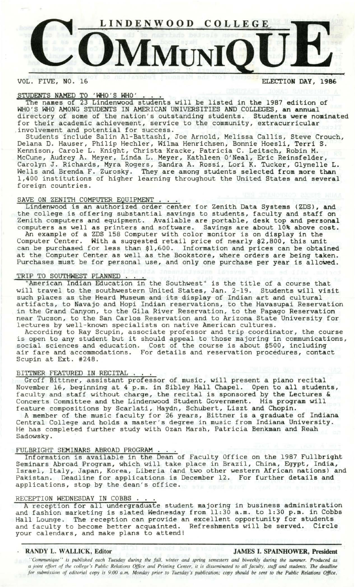

VOL. FIVE, NO. 16 **ELECTION DAY, 1986** 

# STUDENTS NAMED TO 'WHO'S WHO'

The names of 23 Lindenwood students will be listed in the 1987 edition of WHO'S WHO AMONG STUDENTS IN AMERICAN UNIVERSITIES AND COLLEGES, **an annual**  directory of some of the nation's outstanding students. Students **were** nominated for their academic achievement, service to the community, extracurricular involvement and potential for success.

Students include Salin Al-Battashi, Joe Arnold, Melissa Callis, Steve Crouch, Delana D. Hauser, Philip Hechler, Wilma Henrichsen, Bonnie Hoesli, Terri S. Kennison, Carole L. Knight, Christa Kracke, Patricia C. Leitsch, Robin M. McCune, Audrey A. Meyer, Linda L. Meyer, Kathleen O'Neal, Eric Reinsfelder, Carolyn J. Richards, Myra Rogers, Sandra A. Rossi, Lori K. Tucker, Glynelle L. Wells and Brenda F. Zurosky. They are among students selected from more than 1,400 institutions of higher learning throughout the United States and several foreign countries.

SAVE ON ZENITH COMPUTER EQUIPMENT . . .<br>Lindenwood is an authorized order center for Zenith Data Systems (ZDS), and Lindenwood is an authorized order center for Zenith Data Systems (ZDS), and the college is offering substantial savings to students, faculty and staff on Zenith computers and equipment. Available are portable, desk top and **personal**  computers as well as printers and software. Savings are about 10% above cost. An example of a ZDS 158 Computer with color monitor is on display in the Computer Center. With a suggested retail price of nearly \$2,800, this unit can be purchased for less than \$1,600. Information and prices can be obtained at the Computer Center as well as the Bookstore, where orders are being **taken.** 

Purchases must be for personal use, and only one purchase per year is allowed.

# Purchases must be for personal us<br>TRIP TO SOUTHWEST PLANNED . . . .

American Indian Education in the Southwest" is the title of a course that will travel to the southwestern United States, Jan. 2-19. Students will visit such places as the Heard Museum and its display of Indian art and cultural artifacts, to Navajo and Hopi Indian reservations, to the Havasupai Reservation in the Grand Canyon, to the Gila River Reservation, to the Papago Reservation near Tucson, to the San Carlos Reservation and to Arizona State University for lectures by well-known specialists on native American cultures.

According to Ray Scupin, associate professor and trip coordinator, the course is open to any student but it should appeal to those majoring in communications, social sciences and education. Cost of the course is about \$500, including air fare and accommodations. For details and reservation procedures, contact Scupin at Ext. #248.

### BITTNER FEATURED IN RECITAL.

Groff Bittner, assistant professor of music, will present a piano recital November 16, beginning at 4 p.m. in Sibley Hall Chapel. Open to all students, faculty and staff without charge, the recital is sponsored by the Lectures & Concerts Committee and the Lindenwood Student Government. His program will feature compositions by Scarlati, Haydn, Schubert, Liszt and Chopin.

A member of the music faculty for 26 years, Bittner is a graduate of **Indiana**  Central College and holds a master's degree in music from Indiana University. He has completed further study with Ozan Marsh, Patricia Benkman and Reah Sadowsky.

FULBRIGHT SEMINARS ABROAD PROGRAM ... Information is available in the Dean of Faculty Office on the 1987 Fullbright Seminars Abroad Program, which will take place in Brazil, China, Egypt, India, Israel, Italy, Japan, Korea, Liberia (and two other western African nations) and Pakistan. Deadline for applications is December 12. For further details and applications, stop by the dean's office.

## RECEPTION WEDNESDAY IN COBBS.

A reception for all undergraduate student majoring in business administration and fashion marketing is slated Wednesday from 11:30 a.m. to 1:30 p.m. in Cobbs Hall Lounge. The reception can provide an excellent opportunity for students and faculty to become better acquainted. Refreshments will be served. Circle and faculty to become better acquainted. Refreshments will be served. Circle your calendars, and make plans to attend!

### , **RANDY L. WALLICK, Editor JAMES** I. **SPAINHOWER, President**

*''Communique '' is published each Tuesday during the fall, winter and spring semesters and biweekly during the summer. Produced as a joint effort of the college's Public Relations Office and Printing Center, it is disseminated to all faculty, staff and students.* The *deadline for submission rf editorial copy is 9:00 a.m. Monday prior to Tuesday's publication; copy should be sent to the Public Relations Office,*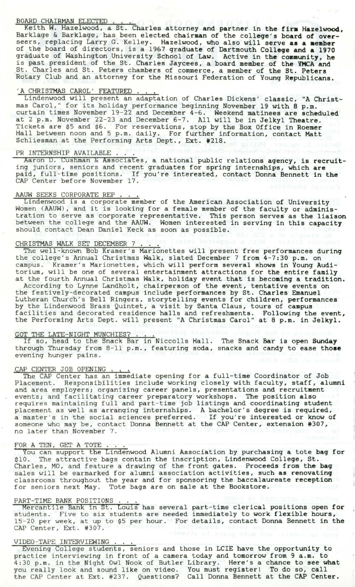BOARD CHAIRMAN ELECTED . . . .<br>Keith W. Hazelwood, a St. Charles attorney and partner in the firm Hazelwood, Barklage & Barklage, has been elected chairman of the college's board of overseers, replacing Larry G. Kelley. Hazelwood, who also will serve as a member of the board of directors, is a 1967 graduate of Dartmouth College and a 1970 graduate of Washington University School of Law. Active in **the community, he**  is past president of the St. Charles Jaycees, a board member of **the YMCA and**  St. Charles and St. Peters chambers of commerce, a member of the St. **Peters**  Rotary Club and an attorney for the Missouri Federation of Young **Republicans.**  Xotary Club and an attorney for the<br>A CHRISTMAS CAROL' FEATURED . . .<br>Lindenwood will present an adaptat

Lindenwood will present an adaptation of Charles Dickens' classic, "A Christmas Carol," for its holiday performance beginning November 19 with 8 p.m. curtain times November 19-22 and December 4-6. Weekend matinees are scheduled at 2 p.m. November 22-23 and December 6-7. All will be in Jelkyl Theatre. Tickets are \$5 and \$6. For reservations, stop by the Box Office in **Roemer**  Hall between noon and 5 p.m. daily. For further information, contact Matt Schliesman at the Performing Arts Dept., Ext. #218.<br>PR INTERNSHIP AVAILABLE ....

Aaron D. Cushman & Associates, a national public relations **agency, is recruit**ing juniors, seniors and recent graduates for spring internships, which are paid, full-time positions. If you're interested, contact Donna Bennett in the CAP Center before November 17.

### AAUW SEEKS CORPORATE REP.

Lindenwood is a corporate member of the American Association of University Women (AAUW), and it is looking for a female member of the faculty or administration to serve as corporate representative. This person serves as the liaison between the college and the AAUW. Women interested in serving in this capacity should contact Dean Daniel Keck as soon as possible.

CHRISTMAS WALK SET DECEMBER 7 . . .<br>The well-known Bob Kramer's Marionettes will present free performances during the college's Annual Christmas Walk, slated December 7 from 4-7:30 p.m. on campus. Kramer's Marionettes, which will perform several shows in Young Auditorium, will be one of several entertainment attractions for the entire family at the fourth Annual Christmas Walk, holiday event that is becoming a tradition.

According to Lynne Landholt, chairperson of the event, tentative events on the festively-decorated campus include performances by St. Charles Emanuel Lutheran Church's Bell Ringers, storytelling events for children, performances by the Lindenwood Brass Quintet, a visit by Santa Claus, tours of campus facilities and decorated residence halls and refreshments. Following the event, the Performing Arts Dept. will present "A Christmas Carol" at 8 p.m. in Jelkyl.

GOT THE LATE-NIGHT MUNCHIES? . If so, head to the Snack Bar in Niccolls Hall. The Snack Bar is open **Sunday**  through Thursday from 8-11 p.m., featuring soda, snacks and candy to ease **those**  evening hunger pains.

### CAP CENTER JOB OPENING

The CAP Center has an immediate opening for a full-time Coordinator of Job Placement. Responsibilities include working closely with faculty, staff, alumni and area employers; organizing career panels, presentations and recruitment events; and facilitating career preparatory workshops. The position also requires maintaining full and part-time job listings and coordinating student placement as well as arranging internships. A bachelor's degree is required, a master's in the social sciences preferred. If you're interested or know of someone who may be, contact Donna Bennett at the CAP Center, extension #307, no later than November 7.

no later than November /.<br>FOR A TEN, GET A TOTE ....<br>You can support the Lindenwood Alumni Association by purchasing a tote bag for \$10. The attractive bags contain the inscription, Lindenwood College, St. Charles, MO, and feature a drawing of the front gates. Proceeds from **the bag**  sales will be earmarked for alumni association activities, such as renovating classrooms throughout the year and for sponsoring the baccalaureate reception for seniors next May. Tote bags are on sale at the Bookstore.

ror seniors next May. Tote bags are on sale at the Bookstore.<br>PART-TIME BANK POSITIONS ...<br>Mercantile Bank in St. Louis has several part-time clerical positions open for students. Five to six students are needed immediately to work flexible hours, 15-20 per week, at up to \$5 per hour. For details, contact Donna Bennett in the CAP Center, Ext. #307.

### VIDEO-TAPE INTERVIEWING.

Evening College students, seniors and those in LCIE have the opportunity to practice interviewing in front of a camera today and tomorrow from 9 a.m. to 4:30 p.m. in the Night Owl Nook of Butler Library. Here's a chance to **see what**  you really look and sound like on video. You must register! To do so, call the CAP Center at Ext. #237. Questions? Call Donna Bennett at the CAP Center.